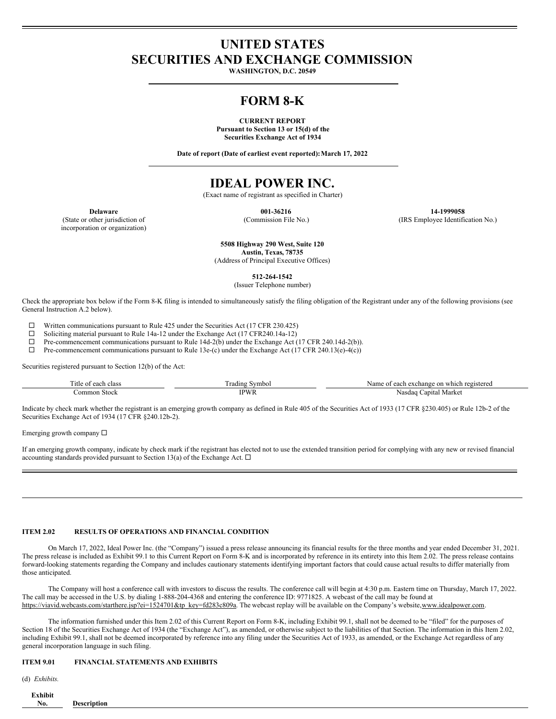# **UNITED STATES SECURITIES AND EXCHANGE COMMISSION**

**WASHINGTON, D.C. 20549**

## **FORM 8-K**

**CURRENT REPORT Pursuant to Section 13 or 15(d) of the Securities Exchange Act of 1934**

**Date of report (Date of earliest event reported):March 17, 2022**

# **IDEAL POWER INC.**

(Exact name of registrant as specified in Charter)

(State or other jurisdiction of incorporation or organization)

**Delaware 001-36216 14-1999058** (Commission File No.) (IRS Employee Identification No.)

> **5508 Highway 290 West, Suite 120 Austin, Texas, 78735**

(Address of Principal Executive Offices)

**512-264-1542**

(Issuer Telephone number)

Check the appropriate box below if the Form 8-K filing is intended to simultaneously satisfy the filing obligation of the Registrant under any of the following provisions (see General Instruction A.2 below).

 $□$  Written communications pursuant to Rule 425 under the Securities Act (17 CFR 230.425)<br>
□ Soliciting material pursuant to Rule 14a-12 under the Exchange Act (17 CFR 240 14a-12)

Soliciting material pursuant to Rule 14a-12 under the Exchange Act (17 CFR240.14a-12)

 $\Box$  Pre-commencement communications pursuant to Rule 14d-2(b) under the Exchange Act (17 CFR 240.14d-2(b)).<br>  $\Box$  Pre-commencement communications pursuant to Rule 13e-(c) under the Exchange Act (17 CFR 240.13(e)-4(c))

Pre-commencement communications pursuant to Rule 13e-(c) under the Exchange Act (17 CFR 240.13(e)-4(c))

Securities registered pursuant to Section 12(b) of the Act:

| $\sim$<br>`itle<br>class<br>$\sim$ $\sim$<br>¥ | $\overline{\phantom{a}}$<br>ivmbo<br>rading                           | Aame<br>eteren.<br>$\Delta V$<br>$"$ <sup><math>\alpha</math></sup> $01$ $\epsilon$ <sub>1</sub><br>"∧change<br>on<br>wni<br>cn. |
|------------------------------------------------|-----------------------------------------------------------------------|----------------------------------------------------------------------------------------------------------------------------------|
| ommon<br>Stock                                 | <b>IDW</b><br>Y 13<br>the contract of the contract of the contract of | Marke<br>Nasdau<br>anita<br>.                                                                                                    |

Indicate by check mark whether the registrant is an emerging growth company as defined in Rule 405 of the Securities Act of 1933 (17 CFR §230.405) or Rule 12b-2 of the Securities Exchange Act of 1934 (17 CFR §240.12b-2).

Emerging growth company  $\Box$ 

If an emerging growth company, indicate by check mark if the registrant has elected not to use the extended transition period for complying with any new or revised financial accounting standards provided pursuant to Section 13(a) of the Exchange Act.  $\Box$ 

#### **ITEM 2.02 RESULTS OF OPERATIONS AND FINANCIAL CONDITION**

On March 17, 2022, Ideal Power Inc. (the "Company") issued a press release announcing its financial results for the three months and year ended December 31, 2021. The press release is included as Exhibit 99.1 to this Current Report on Form 8-K and is incorporated by reference in its entirety into this Item 2.02. The press release contains forward-looking statements regarding the Company and includes cautionary statements identifying important factors that could cause actual results to differ materially from those anticipated.

The Company will host a conference call with investors to discuss the results. The conference call will begin at 4:30 p.m. Eastern time on Thursday, March 17, 2022. The call may be accessed in the U.S. by dialing 1-888-204-4368 and entering the conference ID: 9771825. A webcast of the call may be found at https://viavid.webcasts.com/starthere.jsp?ei=1524701&tp\_key=fd283c809a. The webcast replay will be available on the Company's website,www.idealpower.com.

The information furnished under this Item 2.02 of this Current Report on Form 8-K, including Exhibit 99.1, shall not be deemed to be "filed" for the purposes of Section 18 of the Securities Exchange Act of 1934 (the "Exchange Act"), as amended, or otherwise subject to the liabilities of that Section. The information in this Item 2.02, including Exhibit 99.1, shall not be deemed incorporated by reference into any filing under the Securities Act of 1933, as amended, or the Exchange Act regardless of any general incorporation language in such filing.

#### **ITEM 9.01 FINANCIAL STATEMENTS AND EXHIBITS**

(d) *Exhibits.*

| $\sim$<br>hihi |  |  |  |  |
|----------------|--|--|--|--|
| NO.            |  |  |  |  |
|                |  |  |  |  |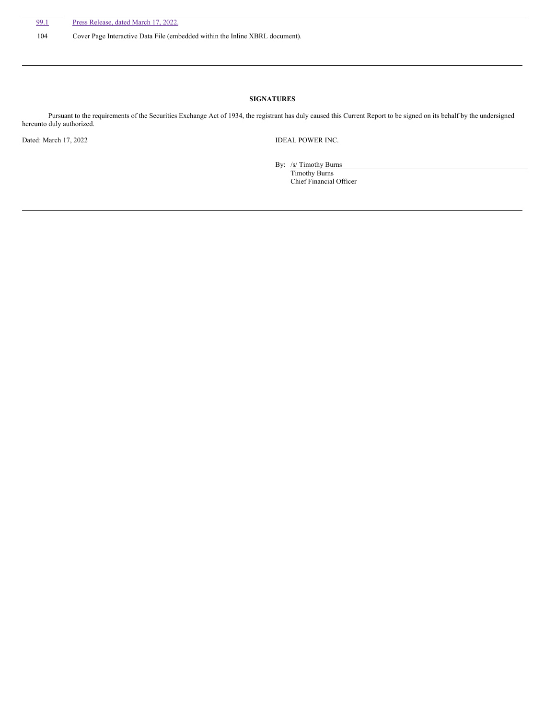104 Cover Page Interactive Data File (embedded within the Inline XBRL document).

## **SIGNATURES**

Pursuant to the requirements of the Securities Exchange Act of 1934, the registrant has duly caused this Current Report to be signed on its behalf by the undersigned hereunto duly authorized.

Dated: March 17, 2022 **IDEAL POWER INC.** 

By: /s/ Timothy Burns Timothy Burns Chief Financial Officer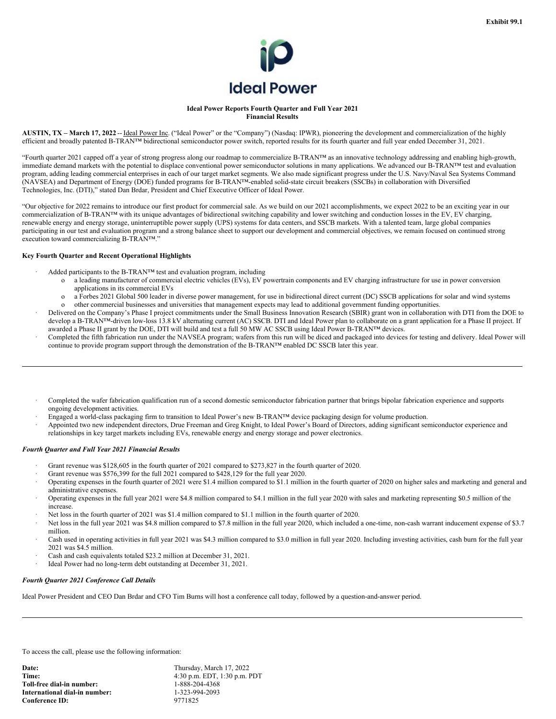

#### **Ideal Power Reports Fourth Quarter and Full Year 2021 Financial Results**

**AUSTIN, TX – March 17, 2022** -- Ideal Power Inc. ("Ideal Power" or the "Company") (Nasdaq: IPWR), pioneering the development and commercialization of the highly efficient and broadly patented B-TRAN™ bidirectional semiconductor power switch, reported results for its fourth quarter and full year ended December 31, 2021.

"Fourth quarter 2021 capped off a year of strong progress along our roadmap to commercialize B-TRAN™ as an innovative technology addressing and enabling high-growth, immediate demand markets with the potential to displace conventional power semiconductor solutions in many applications. We advanced our B-TRAN™ test and evaluation program, adding leading commercial enterprises in each of our target market segments. We also made significant progress under the U.S. Navy/Naval Sea Systems Command (NAVSEA) and Department of Energy (DOE) funded programs for B-TRAN™-enabled solid-state circuit breakers (SSCBs) in collaboration with Diversified Technologies, Inc. (DTI)," stated Dan Brdar, President and Chief Executive Officer of Ideal Power.

"Our objective for 2022 remains to introduce our first product for commercial sale. As we build on our 2021 accomplishments, we expect 2022 to be an exciting year in our commercialization of B-TRAN™ with its unique advantages of bidirectional switching capability and lower switching and conduction losses in the EV, EV charging, renewable energy and energy storage, uninterruptible power supply (UPS) systems for data centers, and SSCB markets. With a talented team, large global companies participating in our test and evaluation program and a strong balance sheet to support our development and commercial objectives, we remain focused on continued strong execution toward commercializing B-TRAN™."

### **Key Fourth Quarter and Recent Operational Highlights**

- Added participants to the B-TRAN™ test and evaluation program, including
	- o a leading manufacturer of commercial electric vehicles (EVs), EV powertrain components and EV charging infrastructure for use in power conversion applications in its commercial EVs
	- o a Forbes 2021 Global 500 leader in diverse power management, for use in bidirectional direct current (DC) SSCB applications for solar and wind systems
- o other commercial businesses and universities that management expects may lead to additional government funding opportunities. · Delivered on the Company's Phase I project commitments under the Small Business Innovation Research (SBIR) grant won in collaboration with DTI from the DOE to develop a B-TRAN™-driven low-loss 13.8 kV alternating current (AC) SSCB. DTI and Ideal Power plan to collaborate on a grant application for a Phase II project. If awarded a Phase II grant by the DOE, DTI will build and test a full 50 MW AC SSCB using Ideal Power B-TRAN™ devices.
- · Completed the fifth fabrication run under the NAVSEA program; wafers from this run will be diced and packaged into devices for testing and delivery. Ideal Power will continue to provide program support through the demonstration of the B-TRAN™ enabled DC SSCB later this year.
- · Completed the wafer fabrication qualification run of a second domestic semiconductor fabrication partner that brings bipolar fabrication experience and supports ongoing development activities.
- · Engaged a world-class packaging firm to transition to Ideal Power's new B-TRAN™ device packaging design for volume production.
- · Appointed two new independent directors, Drue Freeman and Greg Knight, to Ideal Power's Board of Directors, adding significant semiconductor experience and relationships in key target markets including EVs, renewable energy and energy storage and power electronics.

### *Fourth Quarter and Full Year 2021 Financial Results*

- Grant revenue was \$128,605 in the fourth quarter of 2021 compared to \$273,827 in the fourth quarter of 2020.
- Grant revenue was \$576,399 for the full 2021 compared to \$428,129 for the full year 2020.
- · Operating expenses in the fourth quarter of 2021 were \$1.4 million compared to \$1.1 million in the fourth quarter of 2020 on higher sales and marketing and general and administrative expenses.
- · Operating expenses in the full year 2021 were \$4.8 million compared to \$4.1 million in the full year 2020 with sales and marketing representing \$0.5 million of the increase.
- Net loss in the fourth quarter of 2021 was \$1.4 million compared to \$1.1 million in the fourth quarter of 2020.
- Net loss in the full year 2021 was \$4.8 million compared to \$7.8 million in the full year 2020, which included a one-time, non-cash warrant inducement expense of \$3.7 million.
- Cash used in operating activities in full year 2021 was \$4.3 million compared to \$3.0 million in full year 2020. Including investing activities, cash burn for the full year 2021 was \$4.5 million.
- Cash and cash equivalents totaled \$23.2 million at December 31, 2021.
- Ideal Power had no long-term debt outstanding at December 31, 2021.

## *Fourth Quarter 2021 Conference Call Details*

Ideal Power President and CEO Dan Brdar and CFO Tim Burns will host a conference call today, followed by a question-and-answer period.

To access the call, please use the following information: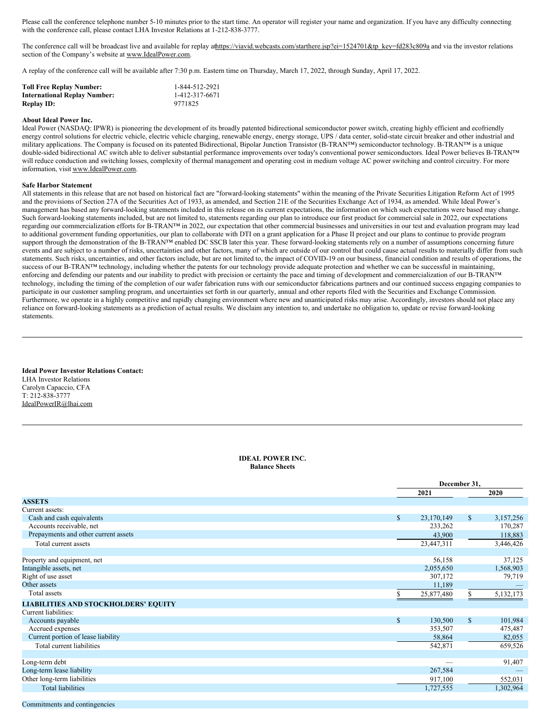<span id="page-3-0"></span>Please call the conference telephone number 5-10 minutes prior to the start time. An operator will register your name and organization. If you have any difficulty connecting with the conference call, please contact LHA Investor Relations at 1-212-838-3777.

The conference call will be broadcast live and available for replay athttps://viavid.webcasts.com/starthere.jsp?ei=1524701&tp\_key=fd283c809a and via the investor relations section of the Company's website at www.IdealPower.com.

A replay of the conference call will be available after 7:30 p.m. Eastern time on Thursday, March 17, 2022, through Sunday, April 17, 2022.

| <b>Toll Free Replay Number:</b>     | 1-844-512-2921 |
|-------------------------------------|----------------|
| <b>International Replay Number:</b> | 1-412-317-6671 |
| <b>Replay ID:</b>                   | 9771825        |

### **About Ideal Power Inc.**

Ideal Power (NASDAQ: IPWR) is pioneering the development of its broadly patented bidirectional semiconductor power switch, creating highly efficient and ecofriendly energy control solutions for electric vehicle, electric vehicle charging, renewable energy, energy storage, UPS / data center, solid-state circuit breaker and other industrial and military applications. The Company is focused on its patented Bidirectional, Bipolar Junction Transistor (B-TRAN™) semiconductor technology. B-TRAN™ is a unique double-sided bidirectional AC switch able to deliver substantial performance improvements over today's conventional power semiconductors. Ideal Power believes B-TRAN™ will reduce conduction and switching losses, complexity of thermal management and operating cost in medium voltage AC power switching and control circuitry. For more information, visit www.IdealPower.com.

#### **Safe Harbor Statement**

All statements in this release that are not based on historical fact are "forward-looking statements" within the meaning of the Private Securities Litigation Reform Act of 1995 and the provisions of Section 27A of the Securities Act of 1933, as amended, and Section 21E of the Securities Exchange Act of 1934, as amended. While Ideal Power's management has based any forward-looking statements included in this release on its current expectations, the information on which such expectations were based may change. Such forward-looking statements included, but are not limited to, statements regarding our plan to introduce our first product for commercial sale in 2022, our expectations regarding our commercialization efforts for B-TRAN™ in 2022, our expectation that other commercial businesses and universities in our test and evaluation program may lead to additional government funding opportunities, our plan to collaborate with DTI on a grant application for a Phase II project and our plans to continue to provide program support through the demonstration of the B-TRAN™ enabled DC SSCB later this year. These forward-looking statements rely on a number of assumptions concerning future events and are subject to a number of risks, uncertainties and other factors, many of which are outside of our control that could cause actual results to materially differ from such statements. Such risks, uncertainties, and other factors include, but are not limited to, the impact of COVID-19 on our business, financial condition and results of operations, the success of our B-TRAN™ technology, including whether the patents for our technology provide adequate protection and whether we can be successful in maintaining, enforcing and defending our patents and our inability to predict with precision or certainty the pace and timing of development and commercialization of our B-TRAN™ technology, including the timing of the completion of our wafer fabrication runs with our semiconductor fabrications partners and our continued success engaging companies to participate in our customer sampling program, and uncertainties set forth in our quarterly, annual and other reports filed with the Securities and Exchange Commission. Furthermore, we operate in a highly competitive and rapidly changing environment where new and unanticipated risks may arise. Accordingly, investors should not place any reliance on forward-looking statements as a prediction of actual results. We disclaim any intention to, and undertake no obligation to, update or revise forward-looking statements.

**Ideal Power Investor Relations Contact:** LHA Investor Relations Carolyn Capaccio, CFA T: 212-838-3777 IdealPowerIR@lhai.com

#### **IDEAL POWER INC. Balance Sheets**

|                                             |              | December 31, |              |           |  |
|---------------------------------------------|--------------|--------------|--------------|-----------|--|
|                                             |              | 2021         |              | 2020      |  |
| <b>ASSETS</b>                               |              |              |              |           |  |
| Current assets:                             |              |              |              |           |  |
| Cash and cash equivalents                   | $\mathbb{S}$ | 23,170,149   | $\mathbb{S}$ | 3,157,256 |  |
| Accounts receivable, net                    |              | 233,262      |              | 170,287   |  |
| Prepayments and other current assets        |              | 43,900       |              | 118,883   |  |
| Total current assets                        |              | 23,447,311   |              | 3,446,426 |  |
|                                             |              |              |              |           |  |
| Property and equipment, net                 |              | 56,158       |              | 37,125    |  |
| Intangible assets, net                      |              | 2,055,650    |              | 1,568,903 |  |
| Right of use asset                          |              | 307,172      |              | 79,719    |  |
| Other assets                                |              | 11,189       |              |           |  |
| Total assets                                |              | 25,877,480   | S.           | 5,132,173 |  |
| <b>LIABILITIES AND STOCKHOLDERS' EQUITY</b> |              |              |              |           |  |
| Current liabilities:                        |              |              |              |           |  |
| Accounts payable                            | $\mathbb{S}$ | 130,500      | \$           | 101,984   |  |
| Accrued expenses                            |              | 353,507      |              | 475,487   |  |
| Current portion of lease liability          |              | 58,864       |              | 82,055    |  |
| Total current liabilities                   |              | 542,871      |              | 659,526   |  |
|                                             |              |              |              |           |  |
| Long-term debt                              |              |              |              | 91,407    |  |
| Long-term lease liability                   |              | 267,584      |              |           |  |
| Other long-term liabilities                 |              | 917,100      |              | 552,031   |  |
| <b>Total liabilities</b>                    |              | 1,727,555    |              | 1,302,964 |  |
|                                             |              |              |              |           |  |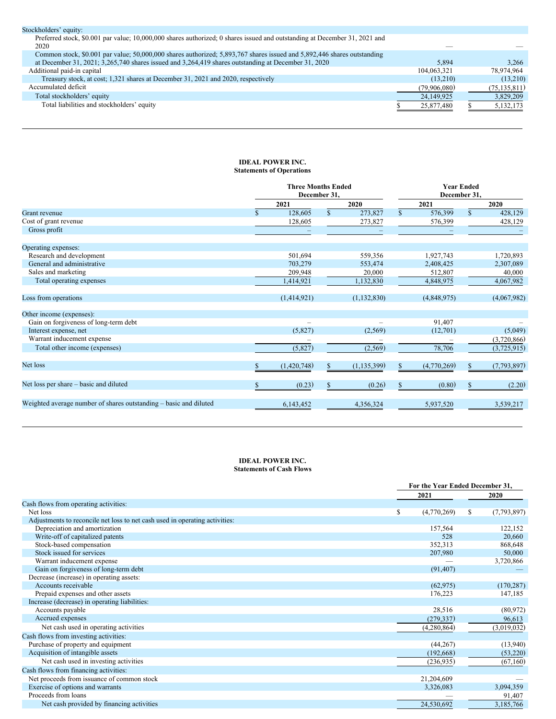| Stockholders' equity:                                                                                                              |              |                |
|------------------------------------------------------------------------------------------------------------------------------------|--------------|----------------|
| Preferred stock, \$0.001 par value; 10,000,000 shares authorized; 0 shares issued and outstanding at December 31, 2021 and<br>2020 |              |                |
| Common stock, \$0.001 par value; 50,000,000 shares authorized; 5,893,767 shares issued and 5,892,446 shares outstanding            |              |                |
| at December 31, 2021; 3,265,740 shares issued and 3,264,419 shares outstanding at December 31, 2020                                | 5.894        | 3.266          |
| Additional paid-in capital                                                                                                         | 104.063.321  | 78.974.964     |
| Treasury stock, at cost; 1,321 shares at December 31, 2021 and 2020, respectively                                                  | (13.210)     | (13,210)       |
| Accumulated deficit                                                                                                                | (79,906,080) | (75, 135, 811) |
| Total stockholders' equity                                                                                                         | 24,149,925   | 3,829,209      |
| Total liabilities and stockholders' equity                                                                                         | 25,877,480   | 5,132,173      |

## **IDEAL POWER INC. Statements of Operations**

|                                                                   | <b>Three Months Ended</b><br>December 31, |              |               |              | <b>Year Ended</b><br>December 31, |              |             |
|-------------------------------------------------------------------|-------------------------------------------|--------------|---------------|--------------|-----------------------------------|--------------|-------------|
|                                                                   | 2021                                      |              | 2020          |              | 2021                              |              | 2020        |
| <b>Grant</b> revenue                                              | 128,605                                   | $\mathbb{S}$ | 273,827       | $\mathbb{S}$ | 576,399                           | $\mathbb{S}$ | 428,129     |
| Cost of grant revenue                                             | 128,605                                   |              | 273,827       |              | 576,399                           |              | 428,129     |
| Gross profit                                                      |                                           |              |               |              |                                   |              |             |
| Operating expenses:                                               |                                           |              |               |              |                                   |              |             |
| Research and development                                          | 501,694                                   |              | 559,356       |              | 1,927,743                         |              | 1,720,893   |
| General and administrative                                        | 703,279                                   |              | 553,474       |              | 2,408,425                         |              | 2,307,089   |
| Sales and marketing                                               | 209,948                                   |              | 20,000        |              | 512,807                           |              | 40,000      |
| Total operating expenses                                          | 1,414,921                                 |              | 1,132,830     |              | 4,848,975                         |              | 4,067,982   |
| Loss from operations                                              | (1,414,921)                               |              | (1, 132, 830) |              | (4,848,975)                       |              | (4,067,982) |
| Other income (expenses):                                          |                                           |              |               |              |                                   |              |             |
| Gain on forgiveness of long-term debt                             |                                           |              |               |              | 91,407                            |              |             |
| Interest expense, net                                             | (5,827)                                   |              | (2,569)       |              | (12,701)                          |              | (5,049)     |
| Warrant inducement expense                                        |                                           |              |               |              |                                   |              | (3,720,866) |
| Total other income (expenses)                                     | (5,827)                                   |              | (2, 569)      |              | 78,706                            |              | (3,725,915) |
| Net loss                                                          | (1,420,748)                               | \$           | (1, 135, 399) | \$           | (4,770,269)                       | S            | (7,793,897) |
| Net loss per share – basic and diluted                            | (0.23)                                    | \$           | (0.26)        | \$           | (0.80)                            | S            | (2.20)      |
| Weighted average number of shares outstanding – basic and diluted | 6,143,452                                 |              | 4,356,324     |              | 5,937,520                         |              | 3,539,217   |

## **IDEAL POWER INC. Statements of Cash Flows**

|                                                                             | For the Year Ended December 31, |    |             |
|-----------------------------------------------------------------------------|---------------------------------|----|-------------|
|                                                                             | 2021                            |    | 2020        |
| Cash flows from operating activities:                                       |                                 |    |             |
| Net loss                                                                    | \$<br>(4,770,269)               | \$ | (7,793,897) |
| Adjustments to reconcile net loss to net cash used in operating activities: |                                 |    |             |
| Depreciation and amortization                                               | 157,564                         |    | 122,152     |
| Write-off of capitalized patents                                            | 528                             |    | 20,660      |
| Stock-based compensation                                                    | 352,313                         |    | 868,648     |
| Stock issued for services                                                   | 207,980                         |    | 50,000      |
| Warrant inducement expense                                                  |                                 |    | 3,720,866   |
| Gain on forgiveness of long-term debt                                       | (91, 407)                       |    |             |
| Decrease (increase) in operating assets:                                    |                                 |    |             |
| Accounts receivable                                                         | (62, 975)                       |    | (170, 287)  |
| Prepaid expenses and other assets                                           | 176,223                         |    | 147,185     |
| Increase (decrease) in operating liabilities:                               |                                 |    |             |
| Accounts payable                                                            | 28,516                          |    | (80, 972)   |
| Accrued expenses                                                            | (279, 337)                      |    | 96,613      |
| Net cash used in operating activities                                       | (4,280,864)                     |    | (3,019,032) |
| Cash flows from investing activities:                                       |                                 |    |             |
| Purchase of property and equipment                                          | (44, 267)                       |    | (13,940)    |
| Acquisition of intangible assets                                            | (192, 668)                      |    | (53,220)    |
| Net cash used in investing activities                                       | (236, 935)                      |    | (67,160)    |
| Cash flows from financing activities:                                       |                                 |    |             |
| Net proceeds from issuance of common stock                                  | 21,204,609                      |    |             |
| Exercise of options and warrants                                            | 3,326,083                       |    | 3,094,359   |
| Proceeds from loans                                                         |                                 |    | 91,407      |
| Net cash provided by financing activities                                   | 24,530,692                      |    | 3,185,766   |